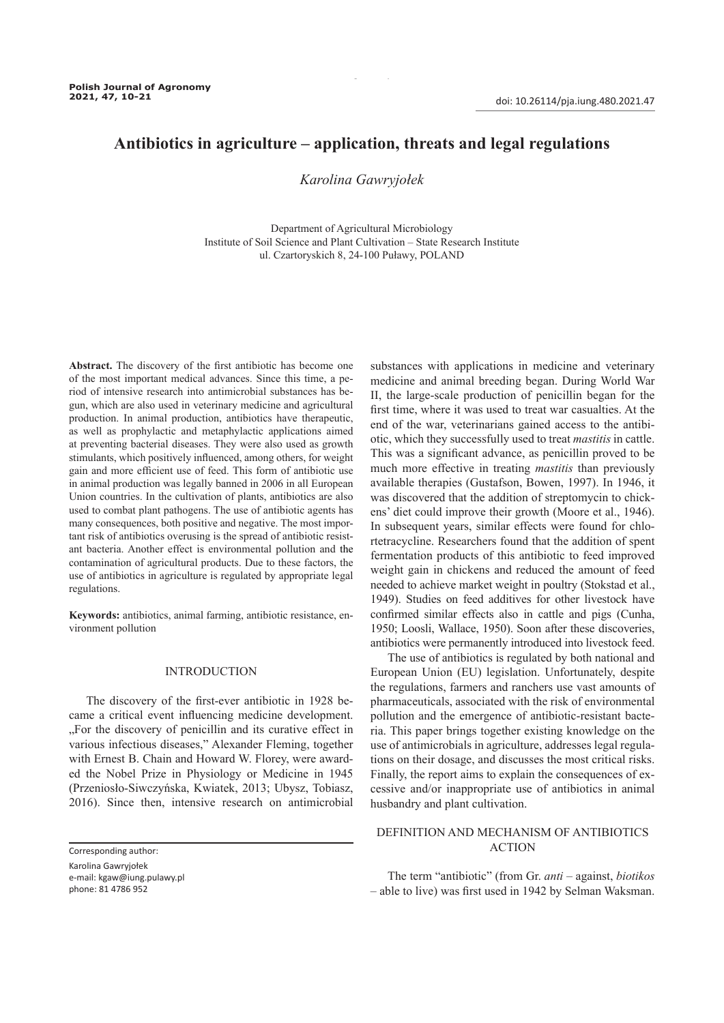# **Antibiotics in agriculture – application, threats and legal regulations**

10 Polish Journal of Agronomy, No. 47, 2021

## *Karolina Gawryjołek*

Department of Agricultural Microbiology Institute of Soil Science and Plant Cultivation – State Research Institute ul. Czartoryskich 8, 24-100 Puławy, POLAND

**Abstract.** The discovery of the first antibiotic has become one of the most important medical advances. Since this time, a period of intensive research into antimicrobial substances has begun, which are also used in veterinary medicine and agricultural production. In animal production, antibiotics have therapeutic, as well as prophylactic and metaphylactic applications aimed at preventing bacterial diseases. They were also used as growth stimulants, which positively influenced, among others, for weight gain and more efficient use of feed. This form of antibiotic use in animal production was legally banned in 2006 in all European Union countries. In the cultivation of plants, antibiotics are also used to combat plant pathogens. The use of antibiotic agents has many consequences, both positive and negative. The most important risk of antibiotics overusing is the spread of antibiotic resistant bacteria. Another effect is environmental pollution and the contamination of agricultural products. Due to these factors, the use of antibiotics in agriculture is regulated by appropriate legal regulations.

**Keywords:** antibiotics, animal farming, antibiotic resistance, environment pollution

## INTRODUCTION

The discovery of the first-ever antibiotic in 1928 became a critical event influencing medicine development. "For the discovery of penicillin and its curative effect in various infectious diseases," Alexander Fleming, together with Ernest B. Chain and Howard W. Florey, were awarded the Nobel Prize in Physiology or Medicine in 1945 (Przeniosło-Siwczyńska, Kwiatek, 2013; Ubysz, Tobiasz, 2016). Since then, intensive research on antimicrobial substances with applications in medicine and veterinary medicine and animal breeding began. During World War II, the large-scale production of penicillin began for the first time, where it was used to treat war casualties. At the end of the war, veterinarians gained access to the antibiotic, which they successfully used to treat *mastitis* in cattle. This was a significant advance, as penicillin proved to be much more effective in treating *mastitis* than previously available therapies (Gustafson, Bowen, 1997). In 1946, it was discovered that the addition of streptomycin to chickens' diet could improve their growth (Moore et al., 1946). In subsequent years, similar effects were found for chlortetracycline. Researchers found that the addition of spent fermentation products of this antibiotic to feed improved weight gain in chickens and reduced the amount of feed needed to achieve market weight in poultry (Stokstad et al., 1949). Studies on feed additives for other livestock have confirmed similar effects also in cattle and pigs (Cunha, 1950; Loosli, Wallace, 1950). Soon after these discoveries, antibiotics were permanently introduced into livestock feed.

The use of antibiotics is regulated by both national and European Union (EU) legislation. Unfortunately, despite the regulations, farmers and ranchers use vast amounts of pharmaceuticals, associated with the risk of environmental pollution and the emergence of antibiotic-resistant bacteria. This paper brings together existing knowledge on the use of antimicrobials in agriculture, addresses legal regulations on their dosage, and discusses the most critical risks. Finally, the report aims to explain the consequences of excessive and/or inappropriate use of antibiotics in animal husbandry and plant cultivation.

## DEFINITION AND MECHANISM OF ANTIBIOTICS ACTION

The term "antibiotic" (from Gr. *anti –* against, *biotikos –* able to live) was first used in 1942 by Selman Waksman.

Corresponding author:

Karolina Gawryjołek e-mail: kgaw@iung.pulawy.pl

phone: 81 4786 952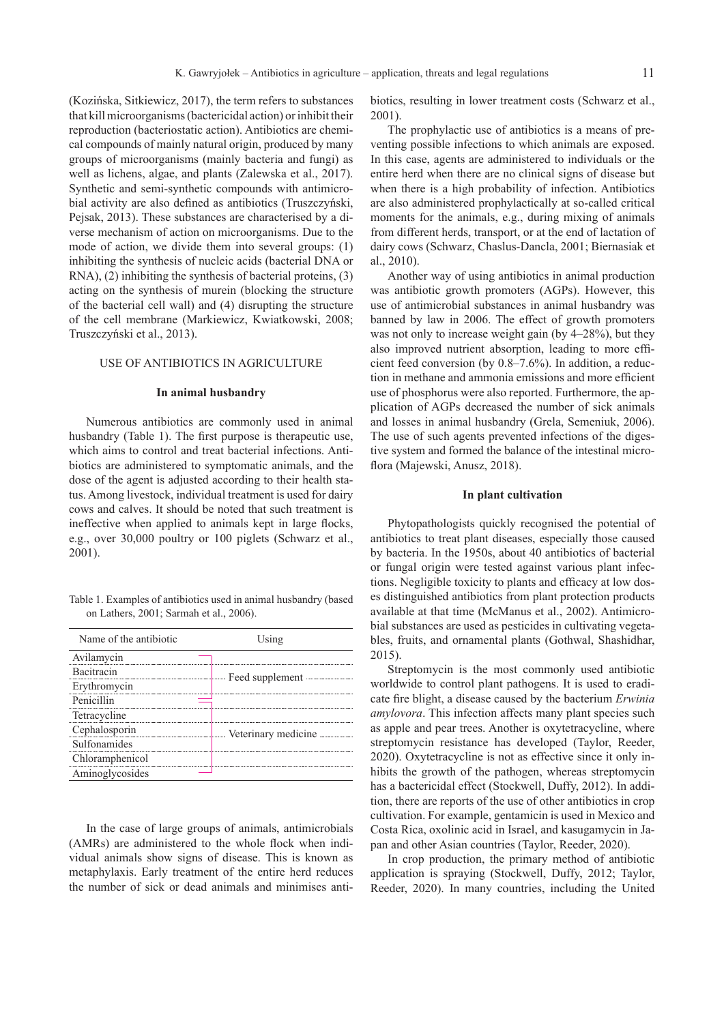(Kozińska, Sitkiewicz, 2017), the term refers to substances that kill microorganisms (bactericidal action) or inhibit their reproduction (bacteriostatic action). Antibiotics are chemical compounds of mainly natural origin, produced by many groups of microorganisms (mainly bacteria and fungi) as well as lichens, algae, and plants (Zalewska et al., 2017). Synthetic and semi-synthetic compounds with antimicrobial activity are also defined as antibiotics (Truszczyński, Pejsak, 2013). These substances are characterised by a diverse mechanism of action on microorganisms. Due to the mode of action, we divide them into several groups: (1) inhibiting the synthesis of nucleic acids (bacterial DNA or RNA), (2) inhibiting the synthesis of bacterial proteins, (3) acting on the synthesis of murein (blocking the structure of the bacterial cell wall) and (4) disrupting the structure of the cell membrane (Markiewicz, Kwiatkowski, 2008; Truszczyński et al., 2013).

## USE OF ANTIBIOTICS IN AGRICULTURE

### **In animal husbandry**

Numerous antibiotics are commonly used in animal husbandry (Table 1). The first purpose is therapeutic use, which aims to control and treat bacterial infections. Antibiotics are administered to symptomatic animals, and the dose of the agent is adjusted according to their health status. Among livestock, individual treatment is used for dairy cows and calves. It should be noted that such treatment is ineffective when applied to animals kept in large flocks, e.g., over 30,000 poultry or 100 piglets (Schwarz et al., 2001).

Table 1. Examples of antibiotics used in animal husbandry (based on Lathers, 2001; Sarmah et al., 2006).

| Name of the antibiotic | Using           |  |
|------------------------|-----------------|--|
| Avilamycin             |                 |  |
| Bacitracin             | Feed supplement |  |
| Erythromycin           |                 |  |
| Penicillin             |                 |  |
| Tetracycline           |                 |  |
| Cephalosporin          |                 |  |
| Sulfonamides           |                 |  |
| Chloramphenicol        |                 |  |
| Aminoglycosides        |                 |  |
|                        |                 |  |

In the case of large groups of animals, antimicrobials (AMRs) are administered to the whole flock when individual animals show signs of disease. This is known as metaphylaxis. Early treatment of the entire herd reduces the number of sick or dead animals and minimises anti-

biotics, resulting in lower treatment costs (Schwarz et al., 2001).

The prophylactic use of antibiotics is a means of preventing possible infections to which animals are exposed. In this case, agents are administered to individuals or the entire herd when there are no clinical signs of disease but when there is a high probability of infection. Antibiotics are also administered prophylactically at so-called critical moments for the animals, e.g., during mixing of animals from different herds, transport, or at the end of lactation of dairy cows (Schwarz, Chaslus-Dancla, 2001; Biernasiak et al., 2010).

Another way of using antibiotics in animal production was antibiotic growth promoters (AGPs). However, this use of antimicrobial substances in animal husbandry was banned by law in 2006. The effect of growth promoters was not only to increase weight gain (by 4–28%), but they also improved nutrient absorption, leading to more efficient feed conversion (by 0.8–7.6%). In addition, a reduction in methane and ammonia emissions and more efficient use of phosphorus were also reported. Furthermore, the application of AGPs decreased the number of sick animals and losses in animal husbandry (Grela, Semeniuk, 2006). The use of such agents prevented infections of the digestive system and formed the balance of the intestinal microflora (Majewski, Anusz, 2018).

#### **In plant cultivation**

Phytopathologists quickly recognised the potential of antibiotics to treat plant diseases, especially those caused by bacteria. In the 1950s, about 40 antibiotics of bacterial or fungal origin were tested against various plant infections. Negligible toxicity to plants and efficacy at low doses distinguished antibiotics from plant protection products available at that time (McManus et al., 2002). Antimicrobial substances are used as pesticides in cultivating vegetables, fruits, and ornamental plants (Gothwal, Shashidhar, 2015).

Streptomycin is the most commonly used antibiotic worldwide to control plant pathogens. It is used to eradicate fire blight, a disease caused by the bacterium *Erwinia amylovora*. This infection affects many plant species such as apple and pear trees. Another is oxytetracycline, where streptomycin resistance has developed (Taylor, Reeder, 2020). Oxytetracycline is not as effective since it only inhibits the growth of the pathogen, whereas streptomycin has a bactericidal effect (Stockwell, Duffy, 2012). In addition, there are reports of the use of other antibiotics in crop cultivation. For example, gentamicin is used in Mexico and Costa Rica, oxolinic acid in Israel, and kasugamycin in Japan and other Asian countries (Taylor, Reeder, 2020).

In crop production, the primary method of antibiotic application is spraying (Stockwell, Duffy, 2012; Taylor, Reeder, 2020). In many countries, including the United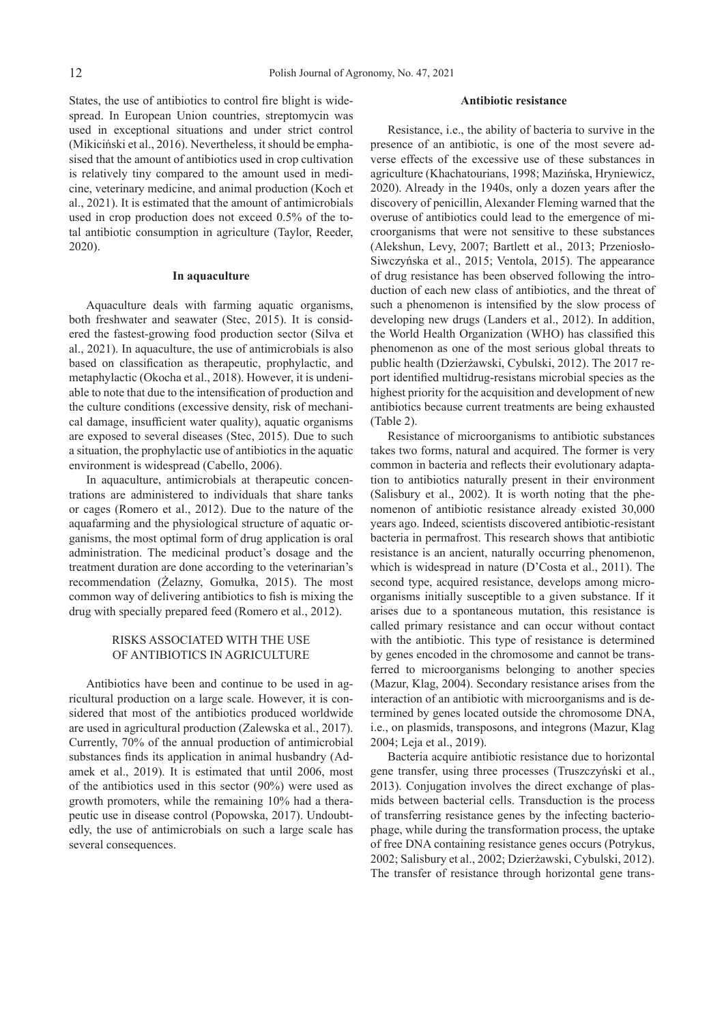States, the use of antibiotics to control fire blight is widespread. In European Union countries, streptomycin was used in exceptional situations and under strict control (Mikiciński et al., 2016). Nevertheless, it should be emphasised that the amount of antibiotics used in crop cultivation is relatively tiny compared to the amount used in medicine, veterinary medicine, and animal production (Koch et al., 2021). It is estimated that the amount of antimicrobials used in crop production does not exceed 0.5% of the total antibiotic consumption in agriculture (Taylor, Reeder, 2020).

## **In aquaculture**

Aquaculture deals with farming aquatic organisms, both freshwater and seawater (Stec, 2015). It is considered the fastest-growing food production sector (Silva et al., 2021). In aquaculture, the use of antimicrobials is also based on classification as therapeutic, prophylactic, and metaphylactic (Okocha et al., 2018). However, it is undeniable to note that due to the intensification of production and the culture conditions (excessive density, risk of mechanical damage, insufficient water quality), aquatic organisms are exposed to several diseases (Stec, 2015). Due to such a situation, the prophylactic use of antibiotics in the aquatic environment is widespread (Cabello, 2006).

In aquaculture, antimicrobials at therapeutic concentrations are administered to individuals that share tanks or cages (Romero et al., 2012). Due to the nature of the aquafarming and the physiological structure of aquatic organisms, the most optimal form of drug application is oral administration. The medicinal product's dosage and the treatment duration are done according to the veterinarian's recommendation (Żelazny, Gomułka, 2015). The most common way of delivering antibiotics to fish is mixing the drug with specially prepared feed (Romero et al., 2012).

## RISKS ASSOCIATED WITH THE USE OF ANTIBIOTICS IN AGRICULTURE

Antibiotics have been and continue to be used in agricultural production on a large scale. However, it is considered that most of the antibiotics produced worldwide are used in agricultural production (Zalewska et al., 2017). Currently, 70% of the annual production of antimicrobial substances finds its application in animal husbandry (Adamek et al., 2019). It is estimated that until 2006, most of the antibiotics used in this sector (90%) were used as growth promoters, while the remaining 10% had a therapeutic use in disease control (Popowska, 2017). Undoubtedly, the use of antimicrobials on such a large scale has several consequences.

## **Antibiotic resistance**

Resistance, i.e., the ability of bacteria to survive in the presence of an antibiotic, is one of the most severe adverse effects of the excessive use of these substances in agriculture (Khachatourians, 1998; Mazińska, Hryniewicz, 2020). Already in the 1940s, only a dozen years after the discovery of penicillin, Alexander Fleming warned that the overuse of antibiotics could lead to the emergence of microorganisms that were not sensitive to these substances (Alekshun, Levy, 2007; Bartlett et al., 2013; Przeniosło-Siwczyńska et al., 2015; Ventola, 2015). The appearance of drug resistance has been observed following the introduction of each new class of antibiotics, and the threat of such a phenomenon is intensified by the slow process of developing new drugs (Landers et al., 2012). In addition, the World Health Organization (WHO) has classified this phenomenon as one of the most serious global threats to public health (Dzierżawski, Cybulski, 2012). The 2017 report identified multidrug-resistans microbial species as the highest priority for the acquisition and development of new antibiotics because current treatments are being exhausted (Table 2).

Resistance of microorganisms to antibiotic substances takes two forms, natural and acquired. The former is very common in bacteria and reflects their evolutionary adaptation to antibiotics naturally present in their environment (Salisbury et al., 2002). It is worth noting that the phenomenon of antibiotic resistance already existed 30,000 years ago. Indeed, scientists discovered antibiotic-resistant bacteria in permafrost. This research shows that antibiotic resistance is an ancient, naturally occurring phenomenon, which is widespread in nature (D'Costa et al., 2011). The second type, acquired resistance, develops among microorganisms initially susceptible to a given substance. If it arises due to a spontaneous mutation, this resistance is called primary resistance and can occur without contact with the antibiotic. This type of resistance is determined by genes encoded in the chromosome and cannot be transferred to microorganisms belonging to another species (Mazur, Klag, 2004). Secondary resistance arises from the interaction of an antibiotic with microorganisms and is determined by genes located outside the chromosome DNA, i.e., on plasmids, transposons, and integrons (Mazur, Klag 2004; Leja et al., 2019).

Bacteria acquire antibiotic resistance due to horizontal gene transfer, using three processes (Truszczyński et al., 2013). Conjugation involves the direct exchange of plasmids between bacterial cells. Transduction is the process of transferring resistance genes by the infecting bacteriophage, while during the transformation process, the uptake of free DNA containing resistance genes occurs (Potrykus, 2002; Salisbury et al., 2002; Dzierżawski, Cybulski, 2012). The transfer of resistance through horizontal gene trans-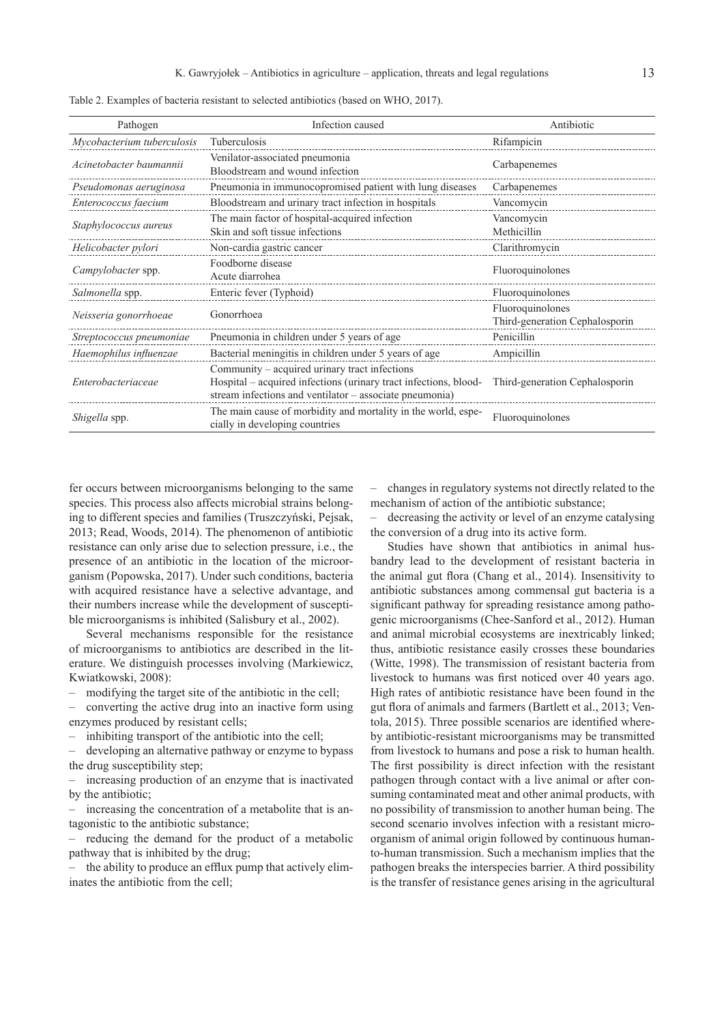| Pathogen                   | Infection caused                                                                                                                                                             | Antibiotic                                         |
|----------------------------|------------------------------------------------------------------------------------------------------------------------------------------------------------------------------|----------------------------------------------------|
| Mycobacterium tuberculosis | Tuberculosis                                                                                                                                                                 | Rifampicin                                         |
| Acinetobacter baumannii    | Venilator-associated pneumonia<br>Bloodstream and wound infection                                                                                                            | Carbapenemes                                       |
| Pseudomonas aeruginosa     | Pneumonia in immunocopromised patient with lung diseases                                                                                                                     | Carbapenemes                                       |
| Enterococcus faecium       | Bloodstream and urinary tract infection in hospitals                                                                                                                         | Vancomycin                                         |
| Staphylococcus aureus      | The main factor of hospital-acquired infection<br>Skin and soft tissue infections                                                                                            | Vancomycin<br>Methicillin                          |
| Helicobacter pylori        | Non-cardia gastric cancer                                                                                                                                                    | Clarithromycin                                     |
| Campylobacter spp.         | Foodborne disease<br>Acute diarrohea                                                                                                                                         | Fluoroquinolones                                   |
| Salmonella spp.            | Enteric fever (Typhoid)                                                                                                                                                      | Fluoroquinolones                                   |
| Neisseria gonorrhoeae      | Gonorrhoea                                                                                                                                                                   | Fluoroquinolones<br>Third-generation Cephalosporin |
| Streptococcus pneumoniae   | Pneumonia in children under 5 years of age                                                                                                                                   | Penicillin                                         |
| Haemophilus influenzae     | Bacterial meningitis in children under 5 years of age                                                                                                                        | Ampicillin                                         |
| Enterobacteriaceae         | Community – acquired urinary tract infections<br>Hospital - acquired infections (urinary tract infections, blood-<br>stream infections and ventilator - associate pneumonia) | Third-generation Cephalosporin                     |
| Shigella spp.              | The main cause of morbidity and mortality in the world, espe-<br>cially in developing countries                                                                              | Fluoroquinolones                                   |

Table 2. Examples of bacteria resistant to selected antibiotics (based on WHO, 2017).

fer occurs between microorganisms belonging to the same species. This process also affects microbial strains belonging to different species and families (Truszczyński, Pejsak, 2013; Read, Woods, 2014). The phenomenon of antibiotic resistance can only arise due to selection pressure, i.e., the presence of an antibiotic in the location of the microorganism (Popowska, 2017). Under such conditions, bacteria with acquired resistance have a selective advantage, and their numbers increase while the development of susceptible microorganisms is inhibited (Salisbury et al., 2002).

Several mechanisms responsible for the resistance of microorganisms to antibiotics are described in the literature. We distinguish processes involving (Markiewicz, Kwiatkowski, 2008):

– modifying the target site of the antibiotic in the cell;

– converting the active drug into an inactive form using enzymes produced by resistant cells;

inhibiting transport of the antibiotic into the cell;

– developing an alternative pathway or enzyme to bypass the drug susceptibility step;

– increasing production of an enzyme that is inactivated by the antibiotic;

– increasing the concentration of a metabolite that is antagonistic to the antibiotic substance;

– reducing the demand for the product of a metabolic pathway that is inhibited by the drug;

– the ability to produce an efflux pump that actively eliminates the antibiotic from the cell;

– changes in regulatory systems not directly related to the mechanism of action of the antibiotic substance;

– decreasing the activity or level of an enzyme catalysing the conversion of a drug into its active form.

Studies have shown that antibiotics in animal husbandry lead to the development of resistant bacteria in the animal gut flora (Chang et al., 2014). Insensitivity to antibiotic substances among commensal gut bacteria is a significant pathway for spreading resistance among pathogenic microorganisms (Chee-Sanford et al., 2012). Human and animal microbial ecosystems are inextricably linked; thus, antibiotic resistance easily crosses these boundaries (Witte, 1998). The transmission of resistant bacteria from livestock to humans was first noticed over 40 years ago. High rates of antibiotic resistance have been found in the gut flora of animals and farmers (Bartlett et al., 2013; Ventola, 2015). Three possible scenarios are identified whereby antibiotic-resistant microorganisms may be transmitted from livestock to humans and pose a risk to human health. The first possibility is direct infection with the resistant pathogen through contact with a live animal or after consuming contaminated meat and other animal products, with no possibility of transmission to another human being. The second scenario involves infection with a resistant microorganism of animal origin followed by continuous humanto-human transmission. Such a mechanism implies that the pathogen breaks the interspecies barrier. A third possibility is the transfer of resistance genes arising in the agricultural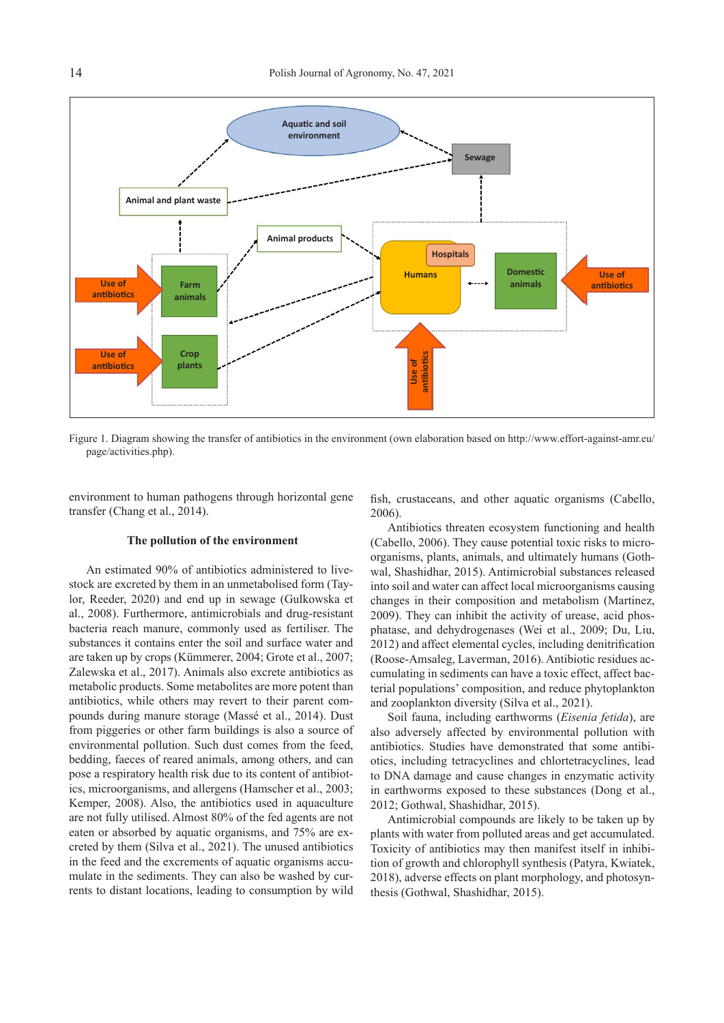

Figure 1. Diagram showing the transfer of antibiotics in the environment (own elaboration based on http://www.effort-against-amr.eu/ page/activities.php).

environment to human pathogens through horizontal gene transfer (Chang et al., 2014).

#### **The pollution of the environment**

An estimated 90% of antibiotics administered to livestock are excreted by them in an unmetabolised form (Taylor, Reeder, 2020) and end up in sewage (Gulkowska et al., 2008). Furthermore, antimicrobials and drug-resistant bacteria reach manure, commonly used as fertiliser. The substances it contains enter the soil and surface water and are taken up by crops (Kümmerer, 2004; Grote et al., 2007; Zalewska et al., 2017). Animals also excrete antibiotics as metabolic products. Some metabolites are more potent than antibiotics, while others may revert to their parent compounds during manure storage (Massé et al., 2014). Dust from piggeries or other farm buildings is also a source of environmental pollution. Such dust comes from the feed, bedding, faeces of reared animals, among others, and can pose a respiratory health risk due to its content of antibiotics, microorganisms, and allergens (Hamscher et al., 2003; Kemper, 2008). Also, the antibiotics used in aquaculture are not fully utilised. Almost 80% of the fed agents are not eaten or absorbed by aquatic organisms, and 75% are excreted by them (Silva et al., 2021). The unused antibiotics in the feed and the excrements of aquatic organisms accumulate in the sediments. They can also be washed by currents to distant locations, leading to consumption by wild fish, crustaceans, and other aquatic organisms (Cabello, 2006).

Antibiotics threaten ecosystem functioning and health (Cabello, 2006). They cause potential toxic risks to microorganisms, plants, animals, and ultimately humans (Gothwal, Shashidhar, 2015). Antimicrobial substances released into soil and water can affect local microorganisms causing changes in their composition and metabolism (Martinez, 2009). They can inhibit the activity of urease, acid phosphatase, and dehydrogenases (Wei et al., 2009; Du, Liu, 2012) and affect elemental cycles, including denitrification (Roose-Amsaleg, Laverman, 2016). Antibiotic residues accumulating in sediments can have a toxic effect, affect bacterial populations' composition, and reduce phytoplankton and zooplankton diversity (Silva et al., 2021).

Soil fauna, including earthworms (*Eisenia fetida*), are also adversely affected by environmental pollution with antibiotics. Studies have demonstrated that some antibiotics, including tetracyclines and chlortetracyclines, lead to DNA damage and cause changes in enzymatic activity in earthworms exposed to these substances (Dong et al., 2012; Gothwal, Shashidhar, 2015).

Antimicrobial compounds are likely to be taken up by plants with water from polluted areas and get accumulated. Toxicity of antibiotics may then manifest itself in inhibition of growth and chlorophyll synthesis (Patyra, Kwiatek, 2018), adverse effects on plant morphology, and photosynthesis (Gothwal, Shashidhar, 2015).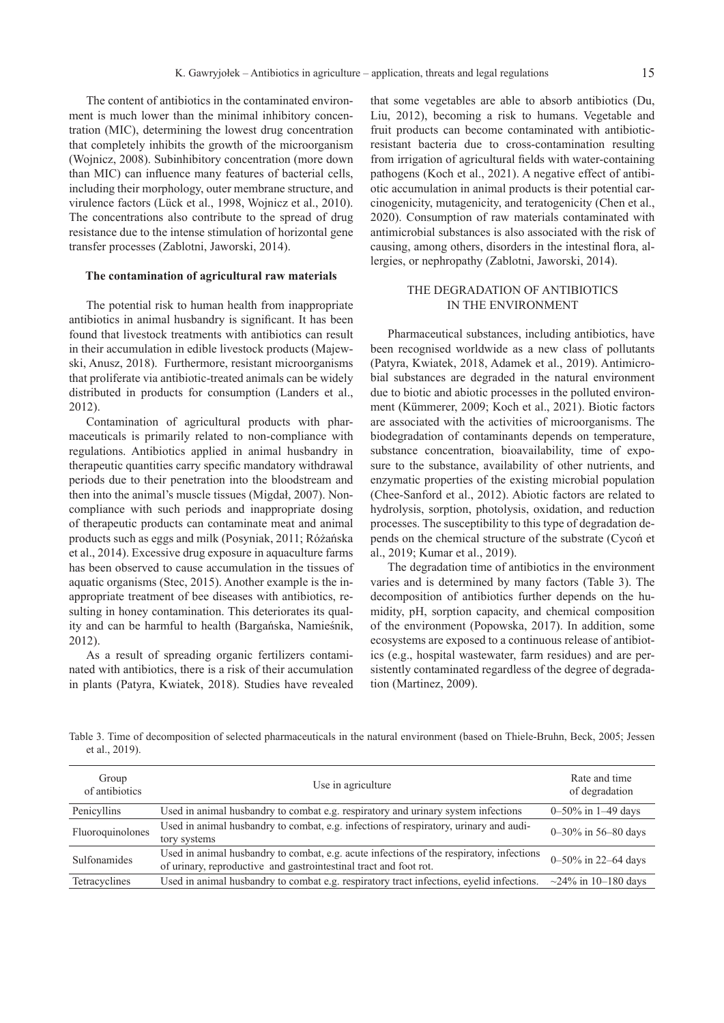The content of antibiotics in the contaminated environment is much lower than the minimal inhibitory concentration (MIC), determining the lowest drug concentration that completely inhibits the growth of the microorganism (Wojnicz, 2008). Subinhibitory concentration (more down than MIC) can influence many features of bacterial cells, including their morphology, outer membrane structure, and virulence factors (Lück et al., 1998, Wojnicz et al., 2010). The concentrations also contribute to the spread of drug resistance due to the intense stimulation of horizontal gene transfer processes (Zablotni, Jaworski, 2014).

#### **The contamination of agricultural raw materials**

The potential risk to human health from inappropriate antibiotics in animal husbandry is significant. It has been found that livestock treatments with antibiotics can result in their accumulation in edible livestock products (Majewski, Anusz, 2018). Furthermore, resistant microorganisms that proliferate via antibiotic-treated animals can be widely distributed in products for consumption (Landers et al., 2012).

Contamination of agricultural products with pharmaceuticals is primarily related to non-compliance with regulations. Antibiotics applied in animal husbandry in therapeutic quantities carry specific mandatory withdrawal periods due to their penetration into the bloodstream and then into the animal's muscle tissues (Migdał, 2007). Noncompliance with such periods and inappropriate dosing of therapeutic products can contaminate meat and animal products such as eggs and milk (Posyniak, 2011; Różańska et al., 2014). Excessive drug exposure in aquaculture farms has been observed to cause accumulation in the tissues of aquatic organisms (Stec, 2015). Another example is the inappropriate treatment of bee diseases with antibiotics, resulting in honey contamination. This deteriorates its quality and can be harmful to health (Bargańska, Namieśnik, 2012).

As a result of spreading organic fertilizers contaminated with antibiotics, there is a risk of their accumulation in plants (Patyra, Kwiatek, 2018). Studies have revealed

that some vegetables are able to absorb antibiotics (Du, Liu, 2012), becoming a risk to humans. Vegetable and fruit products can become contaminated with antibioticresistant bacteria due to cross-contamination resulting from irrigation of agricultural fields with water-containing pathogens (Koch et al., 2021). A negative effect of antibiotic accumulation in animal products is their potential carcinogenicity, mutagenicity, and teratogenicity (Chen et al., 2020). Consumption of raw materials contaminated with antimicrobial substances is also associated with the risk of causing, among others, disorders in the intestinal flora, allergies, or nephropathy (Zablotni, Jaworski, 2014).

## THE DEGRADATION OF ANTIBIOTICS IN THE ENVIRONMENT

Pharmaceutical substances, including antibiotics, have been recognised worldwide as a new class of pollutants (Patyra, Kwiatek, 2018, Adamek et al., 2019). Antimicrobial substances are degraded in the natural environment due to biotic and abiotic processes in the polluted environment (Kümmerer, 2009; Koch et al., 2021). Biotic factors are associated with the activities of microorganisms. The biodegradation of contaminants depends on temperature, substance concentration, bioavailability, time of exposure to the substance, availability of other nutrients, and enzymatic properties of the existing microbial population (Chee-Sanford et al., 2012). Abiotic factors are related to hydrolysis, sorption, photolysis, oxidation, and reduction processes. The susceptibility to this type of degradation depends on the chemical structure of the substrate (Cycoń et al., 2019; Kumar et al., 2019).

The degradation time of antibiotics in the environment varies and is determined by many factors (Table 3). The decomposition of antibiotics further depends on the humidity, pH, sorption capacity, and chemical composition of the environment (Popowska, 2017). In addition, some ecosystems are exposed to a continuous release of antibiotics (e.g., hospital wastewater, farm residues) and are persistently contaminated regardless of the degree of degradation (Martinez, 2009).

Table 3. Time of decomposition of selected pharmaceuticals in the natural environment (based on Thiele-Bruhn, Beck, 2005; Jessen et al., 2019).

| Group<br>of antibiotics | Use in agriculture                                                                                                                                            | Rate and time<br>of degradation |
|-------------------------|---------------------------------------------------------------------------------------------------------------------------------------------------------------|---------------------------------|
| Penicyllins             | Used in animal husbandry to combat e.g. respiratory and urinary system infections                                                                             | $0 - 50\%$ in 1-49 days         |
| Fluoroquinolones        | Used in animal husbandry to combat, e.g. infections of respiratory, urinary and audi-<br>tory systems                                                         | $0 - 30\%$ in 56-80 days        |
| Sulfonamides            | Used in animal husbandry to combat, e.g. acute infections of the respiratory, infections<br>of urinary, reproductive and gastrointestinal tract and foot rot. | $0 - 50\%$ in 22-64 days        |
| Tetracyclines           | Used in animal husbandry to combat e.g. respiratory tract infections, eyelid infections.                                                                      | $\sim$ 24% in 10–180 days       |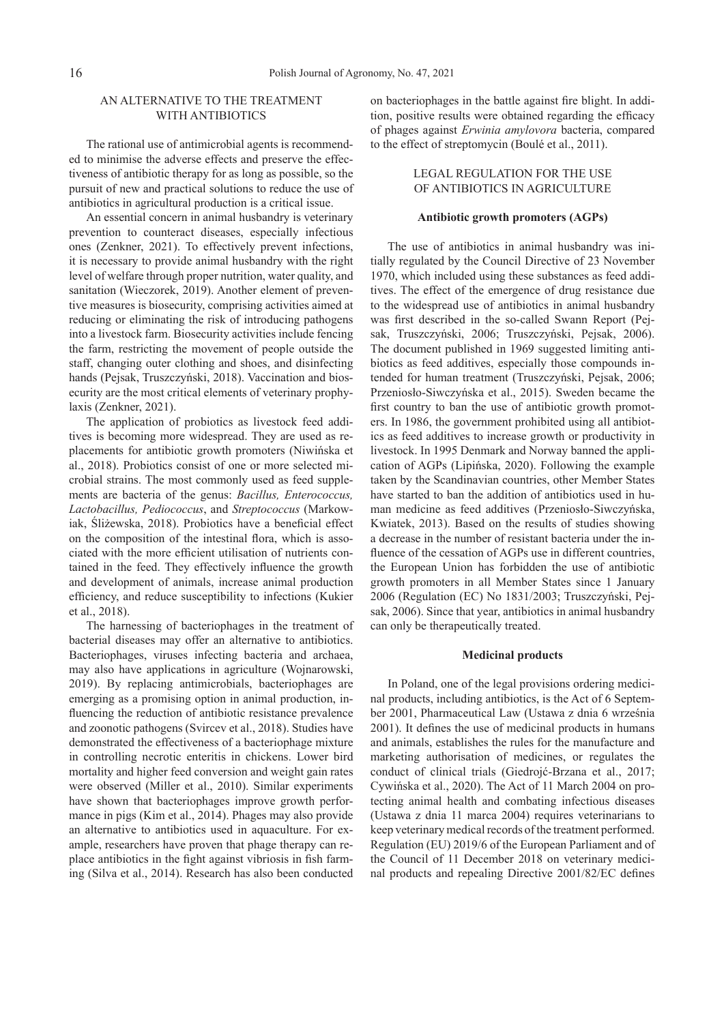## AN ALTERNATIVE TO THE TREATMENT WITH ANTIBIOTICS

The rational use of antimicrobial agents is recommended to minimise the adverse effects and preserve the effectiveness of antibiotic therapy for as long as possible, so the pursuit of new and practical solutions to reduce the use of antibiotics in agricultural production is a critical issue.

An essential concern in animal husbandry is veterinary prevention to counteract diseases, especially infectious ones (Zenkner, 2021). To effectively prevent infections, it is necessary to provide animal husbandry with the right level of welfare through proper nutrition, water quality, and sanitation (Wieczorek, 2019). Another element of preventive measures is biosecurity, comprising activities aimed at reducing or eliminating the risk of introducing pathogens into a livestock farm. Biosecurity activities include fencing the farm, restricting the movement of people outside the staff, changing outer clothing and shoes, and disinfecting hands (Pejsak, Truszczyński, 2018). Vaccination and biosecurity are the most critical elements of veterinary prophylaxis (Zenkner, 2021).

The application of probiotics as livestock feed additives is becoming more widespread. They are used as replacements for antibiotic growth promoters (Niwińska et al., 2018). Probiotics consist of one or more selected microbial strains. The most commonly used as feed supplements are bacteria of the genus: *Bacillus, Enterococcus, Lactobacillus, Pediococcus*, and *Streptococcus* (Markowiak, Śliżewska, 2018). Probiotics have a beneficial effect on the composition of the intestinal flora, which is associated with the more efficient utilisation of nutrients contained in the feed. They effectively influence the growth and development of animals, increase animal production efficiency, and reduce susceptibility to infections (Kukier et al., 2018).

The harnessing of bacteriophages in the treatment of bacterial diseases may offer an alternative to antibiotics. Bacteriophages, viruses infecting bacteria and archaea, may also have applications in agriculture (Wojnarowski, 2019). By replacing antimicrobials, bacteriophages are emerging as a promising option in animal production, influencing the reduction of antibiotic resistance prevalence and zoonotic pathogens (Svircev et al., 2018). Studies have demonstrated the effectiveness of a bacteriophage mixture in controlling necrotic enteritis in chickens. Lower bird mortality and higher feed conversion and weight gain rates were observed (Miller et al., 2010). Similar experiments have shown that bacteriophages improve growth performance in pigs (Kim et al., 2014). Phages may also provide an alternative to antibiotics used in aquaculture. For example, researchers have proven that phage therapy can replace antibiotics in the fight against vibriosis in fish farming (Silva et al., 2014). Research has also been conducted on bacteriophages in the battle against fire blight. In addition, positive results were obtained regarding the efficacy of phages against *Erwinia amylovora* bacteria, compared to the effect of streptomycin (Boulé et al., 2011).

## LEGAL REGULATION FOR THE USE OF ANTIBIOTICS IN AGRICULTURE

## **Antibiotic growth promoters (AGPs)**

The use of antibiotics in animal husbandry was initially regulated by the Council Directive of 23 November 1970, which included using these substances as feed additives. The effect of the emergence of drug resistance due to the widespread use of antibiotics in animal husbandry was first described in the so-called Swann Report (Pejsak, Truszczyński, 2006; Truszczyński, Pejsak, 2006). The document published in 1969 suggested limiting antibiotics as feed additives, especially those compounds intended for human treatment (Truszczyński, Pejsak, 2006; Przeniosło-Siwczyńska et al., 2015). Sweden became the first country to ban the use of antibiotic growth promoters. In 1986, the government prohibited using all antibiotics as feed additives to increase growth or productivity in livestock. In 1995 Denmark and Norway banned the application of AGPs (Lipińska, 2020). Following the example taken by the Scandinavian countries, other Member States have started to ban the addition of antibiotics used in human medicine as feed additives (Przeniosło-Siwczyńska, Kwiatek, 2013). Based on the results of studies showing a decrease in the number of resistant bacteria under the influence of the cessation of AGPs use in different countries, the European Union has forbidden the use of antibiotic growth promoters in all Member States since 1 January 2006 (Regulation (EC) No 1831/2003; Truszczyński, Pejsak, 2006). Since that year, antibiotics in animal husbandry can only be therapeutically treated.

### **Medicinal products**

In Poland, one of the legal provisions ordering medicinal products, including antibiotics, is the Act of 6 September 2001, Pharmaceutical Law (Ustawa z dnia 6 września 2001). It defines the use of medicinal products in humans and animals, establishes the rules for the manufacture and marketing authorisation of medicines, or regulates the conduct of clinical trials (Giedrojć-Brzana et al., 2017; Cywińska et al., 2020). The Act of 11 March 2004 on protecting animal health and combating infectious diseases (Ustawa z dnia 11 marca 2004) requires veterinarians to keep veterinary medical records of the treatment performed. Regulation (EU) 2019/6 of the European Parliament and of the Council of 11 December 2018 on veterinary medicinal products and repealing Directive 2001/82/EC defines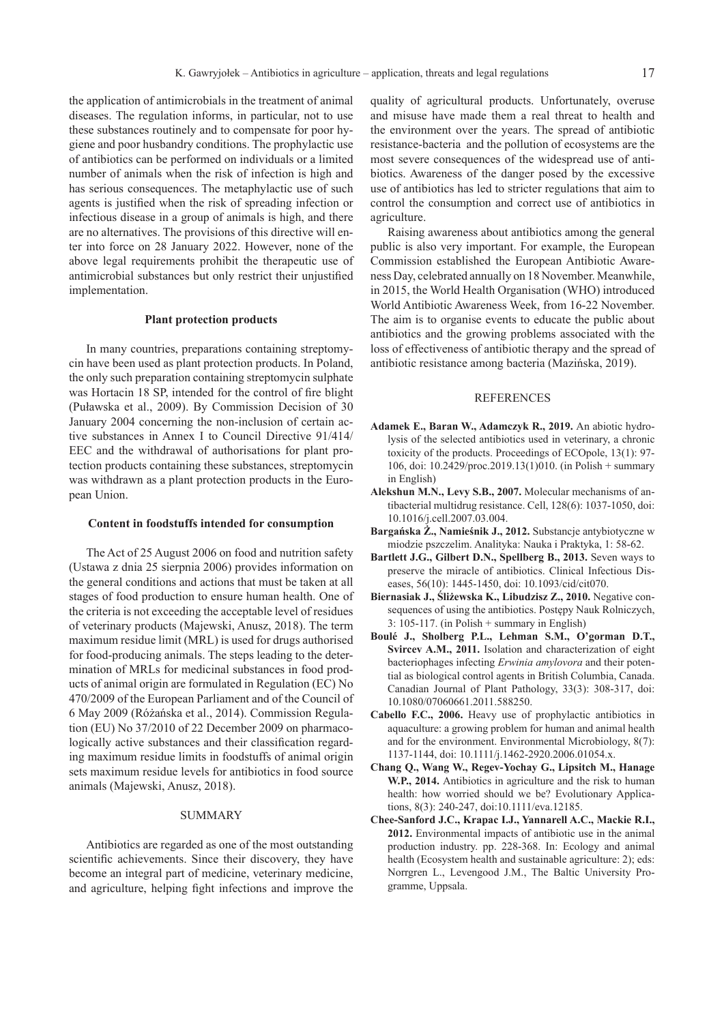the application of antimicrobials in the treatment of animal diseases. The regulation informs, in particular, not to use these substances routinely and to compensate for poor hygiene and poor husbandry conditions. The prophylactic use of antibiotics can be performed on individuals or a limited number of animals when the risk of infection is high and has serious consequences. The metaphylactic use of such agents is justified when the risk of spreading infection or infectious disease in a group of animals is high, and there are no alternatives. The provisions of this directive will enter into force on 28 January 2022. However, none of the above legal requirements prohibit the therapeutic use of antimicrobial substances but only restrict their unjustified

#### **Plant protection products**

implementation.

In many countries, preparations containing streptomycin have been used as plant protection products. In Poland, the only such preparation containing streptomycin sulphate was Hortacin 18 SP, intended for the control of fire blight (Puławska et al., 2009). By Commission Decision of 30 January 2004 concerning the non-inclusion of certain active substances in Annex I to Council Directive 91/414/ EEC and the withdrawal of authorisations for plant protection products containing these substances, streptomycin was withdrawn as a plant protection products in the European Union.

## **Content in foodstuffs intended for consumption**

The Act of 25 August 2006 on food and nutrition safety (Ustawa z dnia 25 sierpnia 2006) provides information on the general conditions and actions that must be taken at all stages of food production to ensure human health. One of the criteria is not exceeding the acceptable level of residues of veterinary products (Majewski, Anusz, 2018). The term maximum residue limit (MRL) is used for drugs authorised for food-producing animals. The steps leading to the determination of MRLs for medicinal substances in food products of animal origin are formulated in Regulation (EC) No 470/2009 of the European Parliament and of the Council of 6 May 2009 (Różańska et al., 2014). Commission Regulation (EU) No 37/2010 of 22 December 2009 on pharmacologically active substances and their classification regarding maximum residue limits in foodstuffs of animal origin sets maximum residue levels for antibiotics in food source animals (Majewski, Anusz, 2018).

## SUMMARY

Antibiotics are regarded as one of the most outstanding scientific achievements. Since their discovery, they have become an integral part of medicine, veterinary medicine, and agriculture, helping fight infections and improve the

quality of agricultural products. Unfortunately, overuse and misuse have made them a real threat to health and the environment over the years. The spread of antibiotic resistance-bacteria and the pollution of ecosystems are the most severe consequences of the widespread use of antibiotics. Awareness of the danger posed by the excessive use of antibiotics has led to stricter regulations that aim to control the consumption and correct use of antibiotics in agriculture.

Raising awareness about antibiotics among the general public is also very important. For example, the European Commission established the European Antibiotic Awareness Day, celebrated annually on 18 November. Meanwhile, in 2015, the World Health Organisation (WHO) introduced World Antibiotic Awareness Week, from 16-22 November. The aim is to organise events to educate the public about antibiotics and the growing problems associated with the loss of effectiveness of antibiotic therapy and the spread of antibiotic resistance among bacteria (Mazińska, 2019).

#### REFERENCES

- **Adamek E., Baran W., Adamczyk R., 2019.** An abiotic hydrolysis of the selected antibiotics used in veterinary, a chronic toxicity of the products. Proceedings of ECOpole, 13(1): 97- 106, doi: 10.2429/proc.2019.13(1)010. (in Polish + summary in English)
- **Alekshun M.N., Levy S.B., 2007.** Molecular mechanisms of antibacterial multidrug resistance. Cell, 128(6): 1037-1050, doi: 10.1016/j.cell.2007.03.004.
- **Bargańska Ż., Namieśnik J., 2012.** Substancje antybiotyczne w miodzie pszczelim. Analityka: Nauka i Praktyka, 1: 58-62.
- **Bartlett J.G., Gilbert D.N., Spellberg B., 2013.** Seven ways to preserve the miracle of antibiotics. Clinical Infectious Diseases, 56(10): 1445-1450, doi: 10.1093/cid/cit070.
- **Biernasiak J., Śliżewska K., Libudzisz Z., 2010.** Negative consequences of using the antibiotics. Postępy Nauk Rolniczych,  $3: 105-117$ . (in Polish + summary in English)
- **Boulé J., Sholberg P.L., Lehman S.M., O'gorman D.T., Svircev A.M., 2011.** Isolation and characterization of eight bacteriophages infecting *Erwinia amylovora* and their potential as biological control agents in British Columbia, Canada. Canadian Journal of Plant Pathology, 33(3): 308-317, doi: 10.1080/07060661.2011.588250.
- **Cabello F.C., 2006.** Heavy use of prophylactic antibiotics in aquaculture: a growing problem for human and animal health and for the environment. Environmental Microbiology, 8(7): 1137-1144, doi: 10.1111/j.1462-2920.2006.01054.x.
- **Chang Q., Wang W., Regev-Yochay G., Lipsitch M., Hanage W.P., 2014.** Antibiotics in agriculture and the risk to human health: how worried should we be? Evolutionary Applications, 8(3): 240-247, doi:10.1111/eva.12185.
- **Chee-Sanford J.C., Krapac I.J., Yannarell A.C., Mackie R.I., 2012.** Environmental impacts of antibiotic use in the animal production industry. pp. 228-368. In: Ecology and animal health (Ecosystem health and sustainable agriculture: 2); eds: Norrgren L., Levengood J.M., The Baltic University Programme, Uppsala.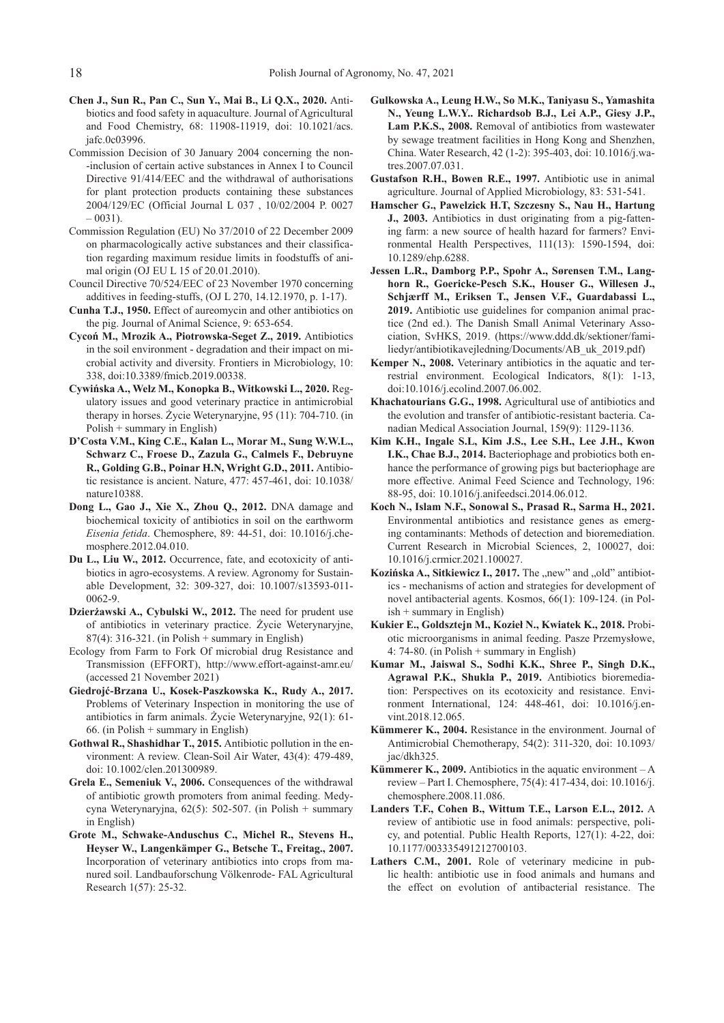- **Chen J., Sun R., Pan C., Sun Y., Mai B., Li Q.X., 2020.** Antibiotics and food safety in aquaculture. Journal of Agricultural and Food Chemistry, 68: 11908-11919, doi: 10.1021/acs. jafc.0c03996.
- Commission Decision of 30 January 2004 concerning the non- -inclusion of certain active substances in Annex I to Council Directive 91/414/EEC and the withdrawal of authorisations for plant protection products containing these substances 2004/129/EC (Official Journal L 037 , 10/02/2004 P. 0027  $-0031$ ).
- Commission Regulation (EU) No 37/2010 of 22 December 2009 on pharmacologically active substances and their classification regarding maximum residue limits in foodstuffs of animal origin (OJ EU L 15 of 20.01.2010).
- Council Directive 70/524/EEC of 23 November 1970 concerning additives in feeding-stuffs, (OJ L 270, 14.12.1970, p. 1-17).
- **Cunha T.J., 1950.** Effect of aureomycin and other antibiotics on the pig. Journal of Animal Science, 9: 653-654.
- **Cycoń M., Mrozik A., Piotrowska-Seget Z., 2019.** Antibiotics in the soil environment - degradation and their impact on microbial activity and diversity. Frontiers in Microbiology, 10: 338, doi:10.3389/fmicb.2019.00338.
- **Cywińska A., Welz M., Konopka B., Witkowski L., 2020.** Regulatory issues and good veterinary practice in antimicrobial therapy in horses. Życie Weterynaryjne, 95 (11): 704-710. (in Polish + summary in English)
- **D'Costa V.M., King C.E., Kalan L., Morar M., Sung W.W.L., Schwarz C., Froese D., Zazula G., Calmels F., Debruyne R., Golding G.B., Poinar H.N, Wright G.D., 2011.** Antibiotic resistance is ancient. Nature, 477: 457-461, doi: 10.1038/ nature10388.
- **Dong L., Gao J., Xie X., Zhou Q., 2012.** DNA damage and biochemical toxicity of antibiotics in soil on the earthworm *Eisenia fetida*. Chemosphere, 89: 44-51, doi: 10.1016/j.chemosphere.2012.04.010.
- **Du L., Liu W., 2012.** Occurrence, fate, and ecotoxicity of antibiotics in agro-ecosystems. A review. Agronomy for Sustainable Development, 32: 309-327, doi: 10.1007/s13593-011- 0062-9.
- **Dzierżawski A., Cybulski W., 2012.** The need for prudent use of antibiotics in veterinary practice. Życie Weterynaryjne, 87(4): 316-321. (in Polish + summary in English)
- Ecology from Farm to Fork Of microbial drug Resistance and Transmission (EFFORT), http://www.effort-against-amr.eu/ (accessed 21 November 2021)
- **Giedrojć-Brzana U., Kosek-Paszkowska K., Rudy A., 2017.**  Problems of Veterinary Inspection in monitoring the use of antibiotics in farm animals. Życie Weterynaryjne, 92(1): 61- 66. (in Polish + summary in English)
- **Gothwal R., Shashidhar T., 2015.** Antibiotic pollution in the environment: A review. Clean-Soil Air Water, 43(4): 479-489, doi: 10.1002/clen.201300989.
- **Grela E., Semeniuk V., 2006.** Consequences of the withdrawal of antibiotic growth promoters from animal feeding. Medycyna Weterynaryjna, 62(5): 502-507. (in Polish + summary in English)
- **Grote M., Schwake-Anduschus C., Michel R., Stevens H., Heyser W., Langenkämper G., Betsche T., Freitag., 2007.**  Incorporation of veterinary antibiotics into crops from manured soil. Landbauforschung Völkenrode- FAL Agricultural Research 1(57): 25-32.
- **Gulkowska A., Leung H.W., So M.K., Taniyasu S., Yamashita N., Yeung L.W.Y.. Richardsob B.J., Lei A.P., Giesy J.P., Lam P.K.S., 2008.** Removal of antibiotics from wastewater by sewage treatment facilities in Hong Kong and Shenzhen, China. Water Research, 42 (1-2): 395-403, doi: 10.1016/j.watres.2007.07.031.
- **Gustafson R.H., Bowen R.E., 1997.** Antibiotic use in animal agriculture. Journal of Applied Microbiology, 83: 531-541.
- **Hamscher G., Pawelzick H.T, Szczesny S., Nau H., Hartung J., 2003.** Antibiotics in dust originating from a pig-fattening farm: a new source of health hazard for farmers? Environmental Health Perspectives, 111(13): 1590-1594, doi: 10.1289/ehp.6288.
- **Jessen L.R., Damborg P.P., Spohr A., Sørensen T.M., Langhorn R., Goericke-Pesch S.K., Houser G., Willesen J., Schjærff M., Eriksen T., Jensen V.F., Guardabassi L., 2019.** Antibiotic use guidelines for companion animal practice (2nd ed.). The Danish Small Animal Veterinary Association, SvHKS, 2019. (https://www.ddd.dk/sektioner/familiedyr/antibiotikavejledning/Documents/AB\_uk\_2019.pdf)
- **Kemper N., 2008.** Veterinary antibiotics in the aquatic and terrestrial environment. Ecological Indicators, 8(1): 1-13, doi:10.1016/j.ecolind.2007.06.002.
- **Khachatourians G.G., 1998.** Agricultural use of antibiotics and the evolution and transfer of antibiotic-resistant bacteria. Canadian Medical Association Journal, 159(9): 1129-1136.
- **Kim K.H., Ingale S.L, Kim J.S., Lee S.H., Lee J.H., Kwon I.K., Chae B.J., 2014.** Bacteriophage and probiotics both enhance the performance of growing pigs but bacteriophage are more effective. Animal Feed Science and Technology, 196: 88-95, doi: 10.1016/j.anifeedsci.2014.06.012.
- **Koch N., Islam N.F., Sonowal S., Prasad R., Sarma H., 2021.**  Environmental antibiotics and resistance genes as emerging contaminants: Methods of detection and bioremediation. Current Research in Microbial Sciences, 2, 100027, doi: 10.1016/j.crmicr.2021.100027.
- Kozińska A., Sitkiewicz I., 2017. The "new" and "old" antibiotics - mechanisms of action and strategies for development of novel antibacterial agents. Kosmos, 66(1): 109-124. (in Polish + summary in English)
- **Kukier E., Goldsztejn M., Kozieł N., Kwiatek K., 2018.** Probiotic microorganisms in animal feeding. Pasze Przemysłowe, 4: 74-80. (in Polish + summary in English)
- **Kumar M., Jaiswal S., Sodhi K.K., Shree P., Singh D.K., Agrawal P.K., Shukla P., 2019.** Antibiotics bioremediation: Perspectives on its ecotoxicity and resistance. Environment International, 124: 448-461, doi: 10.1016/j.envint.2018.12.065.
- **Kümmerer K., 2004.** Resistance in the environment. Journal of Antimicrobial Chemotherapy, 54(2): 311-320, doi: 10.1093/ jac/dkh325.
- **Kümmerer K., 2009.** Antibiotics in the aquatic environment A review – Part I. Chemosphere, 75(4): 417-434, doi: 10.1016/j. chemosphere.2008.11.086.
- **Landers T.F., Cohen B., Wittum T.E., Larson E.L., 2012.** A review of antibiotic use in food animals: perspective, policy, and potential. Public Health Reports, 127(1): 4-22, doi: 10.1177/003335491212700103.
- Lathers C.M., 2001. Role of veterinary medicine in public health: antibiotic use in food animals and humans and the effect on evolution of antibacterial resistance. The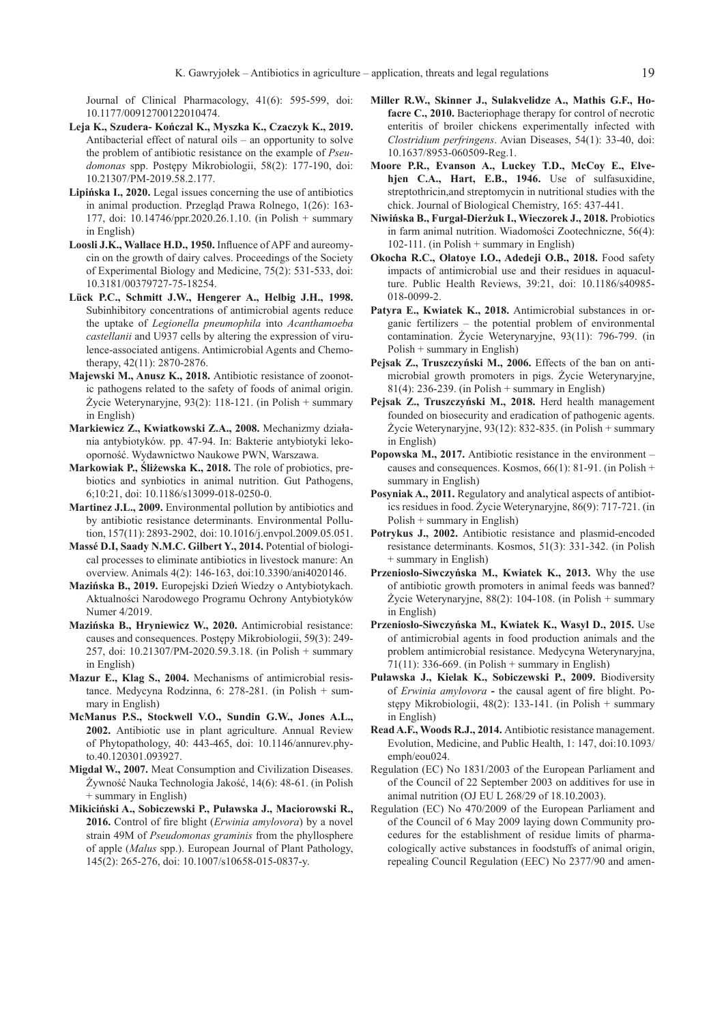Journal of Clinical Pharmacology, 41(6): 595-599, doi: 10.1177/00912700122010474.

- **Leja K., Szudera- Kończal K., Myszka K., Czaczyk K., 2019.**  Antibacterial effect of natural oils – an opportunity to solve the problem of antibiotic resistance on the example of *Pseudomonas* spp. Postępy Mikrobiologii, 58(2): 177-190, doi: 10.21307/PM-2019.58.2.177.
- **Lipińska I., 2020.** Legal issues concerning the use of antibiotics in animal production. Przegląd Prawa Rolnego, 1(26): 163- 177, doi: 10.14746/ppr.2020.26.1.10. (in Polish + summary in English)
- **Loosli J.K., Wallace H.D., 1950.** Influence of APF and aureomycin on the growth of dairy calves. Proceedings of the Society of Experimental Biology and Medicine, 75(2): 531-533, doi: 10.3181/00379727-75-18254.
- **Lück P.C., Schmitt J.W., Hengerer A., Helbig J.H., 1998.**  Subinhibitory concentrations of antimicrobial agents reduce the uptake of *Legionella pneumophila* into *Acanthamoeba castellanii* and U937 cells by altering the expression of virulence-associated antigens. Antimicrobial Agents and Chemotherapy, 42(11): 2870-2876.
- **Majewski M., Anusz K., 2018.** Antibiotic resistance of zoonotic pathogens related to the safety of foods of animal origin. Życie Weterynaryjne, 93(2): 118-121. (in Polish + summary in English)
- **Markiewicz Z., Kwiatkowski Z.A., 2008.** Mechanizmy działania antybiotyków. pp. 47-94. In: Bakterie antybiotyki lekooporność. Wydawnictwo Naukowe PWN, Warszawa.
- **Markowiak P., Śliżewska K., 2018.** The role of probiotics, prebiotics and synbiotics in animal nutrition. Gut Pathogens, 6;10:21, doi: 10.1186/s13099-018-0250-0.
- **Martinez J.L., 2009.** Environmental pollution by antibiotics and by antibiotic resistance determinants. Environmental Pollution, 157(11): 2893-2902, doi: 10.1016/j.envpol.2009.05.051.
- **Massé D.I, Saady N.M.C. Gilbert Y., 2014.** Potential of biological processes to eliminate antibiotics in livestock manure: An overview. Animals 4(2): 146-163, doi:10.3390/ani4020146.
- **Mazińska B., 2019.** Europejski Dzień Wiedzy o Antybiotykach. Aktualności Narodowego Programu Ochrony Antybiotyków Numer 4/2019.
- **Mazińska B., Hryniewicz W., 2020.** Antimicrobial resistance: causes and consequences. Postępy Mikrobiologii, 59(3): 249- 257, doi: 10.21307/PM-2020.59.3.18. (in Polish + summary in English)
- **Mazur E., Klag S., 2004.** Mechanisms of antimicrobial resistance. Medycyna Rodzinna, 6: 278-281. (in Polish + summary in English)
- **McManus P.S., Stockwell V.O., Sundin G.W., Jones A.L., 2002.** Antibiotic use in plant agriculture. Annual Review of Phytopathology, 40: 443-465, doi: 10.1146/annurev.phyto.40.120301.093927.
- **Migdał W., 2007.** Meat Consumption and Civilization Diseases. Żywność Nauka Technologia Jakość, 14(6): 48-61. (in Polish + summary in English)
- **Mikiciński A., Sobiczewski P., Puławska J., Maciorowski R., 2016.** Control of fire blight (*Erwinia amylovora*) by a novel strain 49M of *Pseudomonas graminis* from the phyllosphere of apple (*Malus* spp.). European Journal of Plant Pathology, 145(2): 265-276, doi: 10.1007/s10658-015-0837-y.
- **Miller R.W., Skinner J., Sulakvelidze A., Mathis G.F., Ho**facre C., 2010. Bacteriophage therapy for control of necrotic enteritis of broiler chickens experimentally infected with *Clostridium perfringens*. Avian Diseases, 54(1): 33-40, doi: 10.1637/8953-060509-Reg.1.
- **Moore P.R., Evanson A., Luckey T.D., McCoy E., Elvehjen C.A., Hart, E.B., 1946.** Use of sulfasuxidine, streptothricin,and streptomycin in nutritional studies with the chick. Journal of Biological Chemistry, 165: 437-441.
- **Niwińska B., Furgał-Dierżuk I., Wieczorek J., 2018.** Probiotics in farm animal nutrition. Wiadomości Zootechniczne, 56(4): 102-111. (in Polish + summary in English)
- **Okocha R.C., Olatoye I.O., Adedeji O.B., 2018.** Food safety impacts of antimicrobial use and their residues in aquaculture. Public Health Reviews, 39:21, doi: 10.1186/s40985- 018-0099-2.
- Patyra E., Kwiatek K., 2018. Antimicrobial substances in organic fertilizers – the potential problem of environmental contamination. Życie Weterynaryjne, 93(11): 796-799. (in Polish + summary in English)
- **Pejsak Z., Truszczyński M., 2006.** Effects of the ban on antimicrobial growth promoters in pigs. Życie Weterynaryjne, 81(4): 236-239. (in Polish + summary in English)
- **Pejsak Z., Truszczyński M., 2018.** Herd health management founded on biosecurity and eradication of pathogenic agents. Życie Weterynaryjne, 93(12): 832-835. (in Polish + summary in English)
- **Popowska M., 2017.** Antibiotic resistance in the environment causes and consequences. Kosmos, 66(1): 81-91. (in Polish + summary in English)
- **Posyniak A., 2011.** Regulatory and analytical aspects of antibiotics residues in food. Życie Weterynaryjne, 86(9): 717-721. (in Polish + summary in English)
- **Potrykus J., 2002.** Antibiotic resistance and plasmid-encoded resistance determinants. Kosmos, 51(3): 331-342. (in Polish + summary in English)
- **Przeniosło-Siwczyńska M., Kwiatek K., 2013.** Why the use of antibiotic growth promoters in animal feeds was banned? Życie Weterynaryjne, 88(2): 104-108. (in Polish + summary in English)
- **Przeniosło-Siwczyńska M., Kwiatek K., Wasyl D., 2015.** Use of antimicrobial agents in food production animals and the problem antimicrobial resistance. Medycyna Weterynaryjna, 71(11): 336-669. (in Polish + summary in English)
- **Puławska J., Kielak K., Sobiczewski P., 2009.** Biodiversity of *Erwinia amylovora* **-** the causal agent of fire blight. Postępy Mikrobiologii, 48(2): 133-141. (in Polish + summary in English)
- **Read A.F., Woods R.J., 2014.** Antibiotic resistance management. Evolution, Medicine, and Public Health, 1: 147, doi:10.1093/ emph/eou024.
- Regulation (EC) No 1831/2003 of the European Parliament and of the Council of 22 September 2003 on additives for use in animal nutrition (OJ EU L 268/29 of 18.10.2003).
- Regulation (EC) No 470/2009 of the European Parliament and of the Council of 6 May 2009 laying down Community procedures for the establishment of residue limits of pharmacologically active substances in foodstuffs of animal origin, repealing Council Regulation (EEC) No 2377/90 and amen-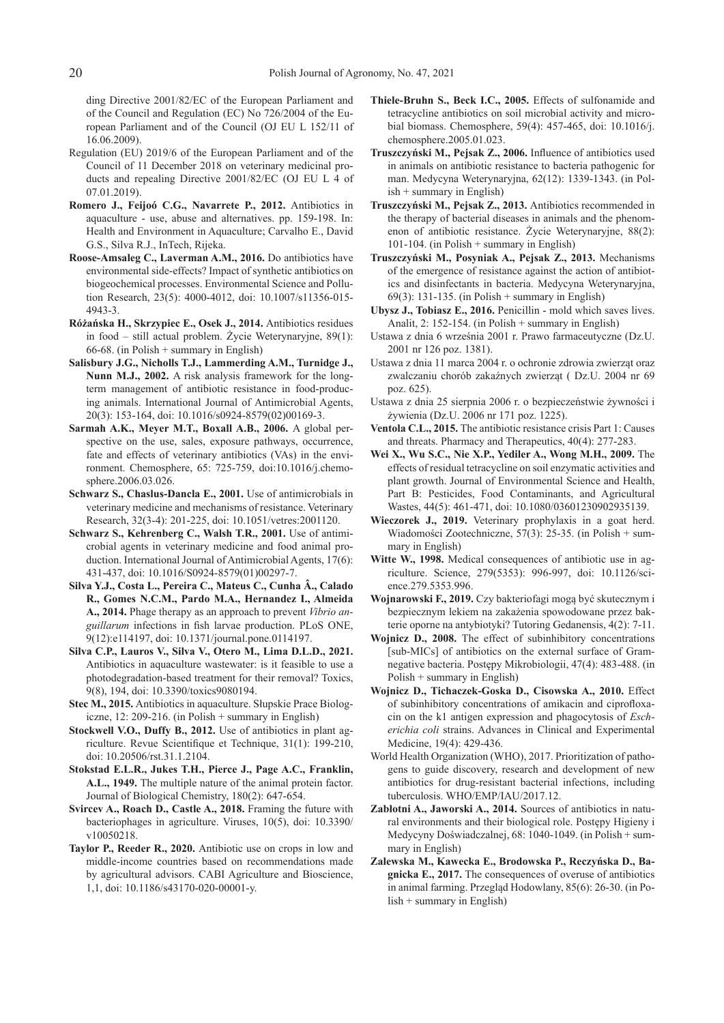ding Directive 2001/82/EC of the European Parliament and of the Council and Regulation (EC) No 726/2004 of the European Parliament and of the Council (OJ EU L 152/11 of 16.06.2009).

- Regulation (EU) 2019/6 of the European Parliament and of the Council of 11 December 2018 on veterinary medicinal products and repealing Directive 2001/82/EC (OJ EU L 4 of 07.01.2019).
- **Romero J., Feijoó C.G., Navarrete P., 2012.** Antibiotics in aquaculture - use, abuse and alternatives. pp. 159-198. In: Health and Environment in Aquaculture; Carvalho E., David G.S., Silva R.J., InTech, Rijeka.
- **Roose-Amsaleg C., Laverman A.M., 2016.** Do antibiotics have environmental side-effects? Impact of synthetic antibiotics on biogeochemical processes. Environmental Science and Pollution Research, 23(5): 4000-4012, doi: 10.1007/s11356-015- 4943-3.
- **Różańska H., Skrzypiec E., Osek J., 2014.** Antibiotics residues in food – still actual problem. Życie Weterynaryjne, 89(1): 66-68. (in Polish + summary in English)
- **Salisbury J.G., Nicholls T.J., Lammerding A.M., Turnidge J., Nunn M.J., 2002.** A risk analysis framework for the longterm management of antibiotic resistance in food-producing animals. International Journal of Antimicrobial Agents, 20(3): 153-164, doi: 10.1016/s0924-8579(02)00169-3.
- **Sarmah A.K., Meyer M.T., Boxall A.B., 2006.** A global perspective on the use, sales, exposure pathways, occurrence, fate and effects of veterinary antibiotics (VAs) in the environment. Chemosphere, 65: 725-759, doi:10.1016/j.chemosphere.2006.03.026.
- Schwarz S., Chaslus-Dancla E., 2001. Use of antimicrobials in veterinary medicine and mechanisms of resistance. Veterinary Research, 32(3-4): 201-225, doi: 10.1051/vetres:2001120.
- **Schwarz S., Kehrenberg C., Walsh T.R., 2001.** Use of antimicrobial agents in veterinary medicine and food animal production. International Journal of Antimicrobial Agents, 17(6): 431-437, doi: 10.1016/S0924-8579(01)00297-7.
- **Silva Y.J., Costa L., Pereira C., Mateus C., Cunha Â., Calado R., Gomes N.C.M., Pardo M.A., Hernandez I., Almeida A., 2014.** Phage therapy as an approach to prevent *Vibrio anguillarum* infections in fish larvae production. PLoS ONE, 9(12):e114197, doi: 10.1371/journal.pone.0114197.
- **Silva C.P., Lauros V., Silva V., Otero M., Lima D.L.D., 2021.**  Antibiotics in aquaculture wastewater: is it feasible to use a photodegradation-based treatment for their removal? Toxics, 9(8), 194, doi: 10.3390/toxics9080194.
- **Stec M., 2015.** Antibiotics in aquaculture. Słupskie Prace Biologiczne, 12: 209-216. (in Polish + summary in English)
- **Stockwell V.O., Duffy B., 2012.** Use of antibiotics in plant agriculture. Revue Scientifique et Technique, 31(1): 199-210, doi: 10.20506/rst.31.1.2104.
- **Stokstad E.L.R., Jukes T.H., Pierce J., Page A.C., Franklin, A.L., 1949.** The multiple nature of the animal protein factor. Journal of Biological Chemistry, 180(2): 647-654.
- **Svircev A., Roach D., Castle A., 2018.** Framing the future with bacteriophages in agriculture. Viruses, 10(5), doi: 10.3390/ v10050218.
- **Taylor P., Reeder R., 2020.** Antibiotic use on crops in low and middle-income countries based on recommendations made by agricultural advisors. CABI Agriculture and Bioscience, 1,1, doi: 10.1186/s43170-020-00001-y.
- **Thiele-Bruhn S., Beck I.C., 2005.** Effects of sulfonamide and tetracycline antibiotics on soil microbial activity and microbial biomass. Chemosphere, 59(4): 457-465, doi: 10.1016/j. chemosphere.2005.01.023.
- **Truszczyński M., Pejsak Z., 2006.** Influence of antibiotics used in animals on antibiotic resistance to bacteria pathogenic for man. Medycyna Weterynaryjna, 62(12): 1339-1343. (in Polish + summary in English)
- **Truszczyński M., Pejsak Z., 2013.** Antibiotics recommended in the therapy of bacterial diseases in animals and the phenomenon of antibiotic resistance. Życie Weterynaryjne, 88(2): 101-104. (in Polish + summary in English)
- **Truszczyński M., Posyniak A., Pejsak Z., 2013.** Mechanisms of the emergence of resistance against the action of antibiotics and disinfectants in bacteria. Medycyna Weterynaryjna, 69(3): 131-135. (in Polish + summary in English)
- **Ubysz J., Tobiasz E., 2016.** Penicillin mold which saves lives. Analit, 2: 152-154. (in Polish + summary in English)
- Ustawa z dnia 6 września 2001 r. Prawo farmaceutyczne (Dz.U. 2001 nr 126 poz. 1381).
- Ustawa z dnia 11 marca 2004 r. o ochronie zdrowia zwierząt oraz zwalczaniu chorób zakaźnych zwierząt ( Dz.U. 2004 nr 69 poz. 625).
- Ustawa z dnia 25 sierpnia 2006 r. o bezpieczeństwie żywności i żywienia (Dz.U. 2006 nr 171 poz. 1225).
- **Ventola C.L., 2015.** The antibiotic resistance crisis Part 1: Causes and threats. Pharmacy and Therapeutics, 40(4): 277-283.
- **Wei X., Wu S.C., Nie X.P., Yediler A., Wong M.H., 2009.** The effects of residual tetracycline on soil enzymatic activities and plant growth. Journal of Environmental Science and Health, Part B: Pesticides, Food Contaminants, and Agricultural Wastes, 44(5): 461-471, doi: 10.1080/03601230902935139.
- **Wieczorek J., 2019.** Veterinary prophylaxis in a goat herd. Wiadomości Zootechniczne, 57(3): 25-35. (in Polish + summary in English)
- **Witte W., 1998.** Medical consequences of antibiotic use in agriculture. Science, 279(5353): 996-997, doi: 10.1126/science.279.5353.996.
- **Wojnarowski F., 2019.** Czy bakteriofagi mogą być skutecznym i bezpiecznym lekiem na zakażenia spowodowane przez bakterie oporne na antybiotyki? Tutoring Gedanensis, 4(2): 7-11.
- **Wojnicz D., 2008.** The effect of subinhibitory concentrations [sub-MICs] of antibiotics on the external surface of Gramnegative bacteria. Postępy Mikrobiologii, 47(4): 483-488. (in Polish + summary in English)
- **Wojnicz D., Tichaczek-Goska D., Cisowska A., 2010.** Effect of subinhibitory concentrations of amikacin and ciprofloxacin on the k1 antigen expression and phagocytosis of *Escherichia coli* strains. Advances in Clinical and Experimental Medicine, 19(4): 429-436.
- World Health Organization (WHO), 2017. Prioritization of pathogens to guide discovery, research and development of new antibiotics for drug-resistant bacterial infections, including tuberculosis. WHO/EMP/IAU/2017.12.
- **Zabłotni A., Jaworski A., 2014.** Sources of antibiotics in natural environments and their biological role. Postępy Higieny i Medycyny Doświadczalnej, 68: 1040-1049. (in Polish + summary in English)
- **Zalewska M., Kawecka E., Brodowska P., Reczyńska D., Bagnicka E., 2017.** The consequences of overuse of antibiotics in animal farming. Przegląd Hodowlany, 85(6): 26-30. (in Polish + summary in English)